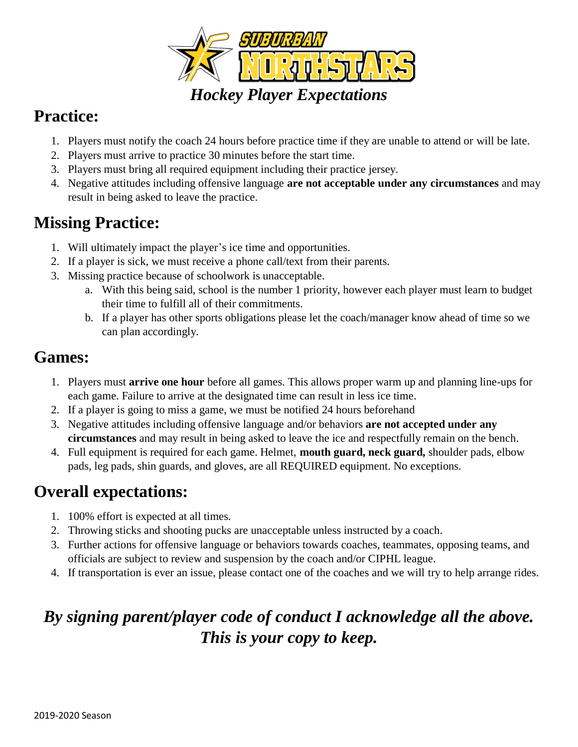

### **Practice:**

- 1. Players must notify the coach 24 hours before practice time if they are unable to attend or will be late.
- 2. Players must arrive to practice 30 minutes before the start time.
- 3. Players must bring all required equipment including their practice jersey.
- 4. Negative attitudes including offensive language **are not acceptable under any circumstances** and may result in being asked to leave the practice.

## **Missing Practice:**

- 1. Will ultimately impact the player's ice time and opportunities.
- 2. If a player is sick, we must receive a phone call/text from their parents.
- 3. Missing practice because of schoolwork is unacceptable.
	- a. With this being said, school is the number 1 priority, however each player must learn to budget their time to fulfill all of their commitments.
	- b. If a player has other sports obligations please let the coach/manager know ahead of time so we can plan accordingly.

## **Games:**

- 1. Players must **arrive one hour** before all games. This allows proper warm up and planning line-ups for each game. Failure to arrive at the designated time can result in less ice time.
- 2. If a player is going to miss a game, we must be notified 24 hours beforehand
- 3. Negative attitudes including offensive language and/or behaviors **are not accepted under any circumstances** and may result in being asked to leave the ice and respectfully remain on the bench.
- 4. Full equipment is required for each game. Helmet, **mouth guard, neck guard,** shoulder pads, elbow pads, leg pads, shin guards, and gloves, are all REQUIRED equipment. No exceptions.

## **Overall expectations:**

- 1. 100% effort is expected at all times.
- 2. Throwing sticks and shooting pucks are unacceptable unless instructed by a coach.
- 3. Further actions for offensive language or behaviors towards coaches, teammates, opposing teams, and officials are subject to review and suspension by the coach and/or CIPHL league.
- 4. If transportation is ever an issue, please contact one of the coaches and we will try to help arrange rides.

## *By signing parent/player code of conduct I acknowledge all the above. This is your copy to keep.*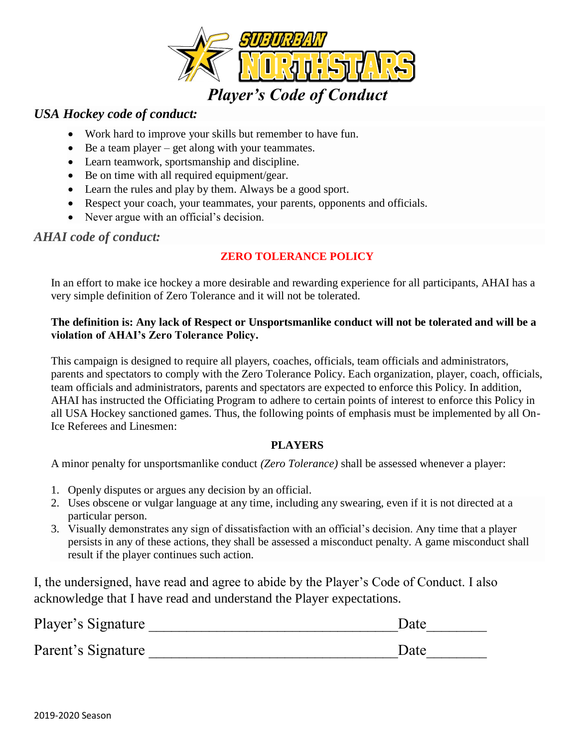

#### *USA Hockey code of conduct:*

- Work hard to improve your skills but remember to have fun.
- $\bullet$  Be a team player get along with your teammates.
- Learn teamwork, sportsmanship and discipline.
- Be on time with all required equipment/gear.
- Learn the rules and play by them. Always be a good sport.
- Respect your coach, your teammates, your parents, opponents and officials.
- Never argue with an official's decision.

#### *AHAI code of conduct:*

#### **ZERO TOLERANCE POLICY**

In an effort to make ice hockey a more desirable and rewarding experience for all participants, AHAI has a very simple definition of Zero Tolerance and it will not be tolerated.

#### **The definition is: Any lack of Respect or Unsportsmanlike conduct will not be tolerated and will be a violation of AHAI's Zero Tolerance Policy.**

This campaign is designed to require all players, coaches, officials, team officials and administrators, parents and spectators to comply with the Zero Tolerance Policy. Each organization, player, coach, officials, team officials and administrators, parents and spectators are expected to enforce this Policy. In addition, AHAI has instructed the Officiating Program to adhere to certain points of interest to enforce this Policy in all USA Hockey sanctioned games. Thus, the following points of emphasis must be implemented by all On-Ice Referees and Linesmen:

#### **PLAYERS**

A minor penalty for unsportsmanlike conduct *(Zero Tolerance)* shall be assessed whenever a player:

- 1. Openly disputes or argues any decision by an official.
- 2. Uses obscene or vulgar language at any time, including any swearing, even if it is not directed at a particular person.
- 3. Visually demonstrates any sign of dissatisfaction with an official's decision. Any time that a player persists in any of these actions, they shall be assessed a misconduct penalty. A game misconduct shall result if the player continues such action.

I, the undersigned, have read and agree to abide by the Player's Code of Conduct. I also acknowledge that I have read and understand the Player expectations.

| Player's Signature | Date |  |
|--------------------|------|--|
| Parent's Signature | Date |  |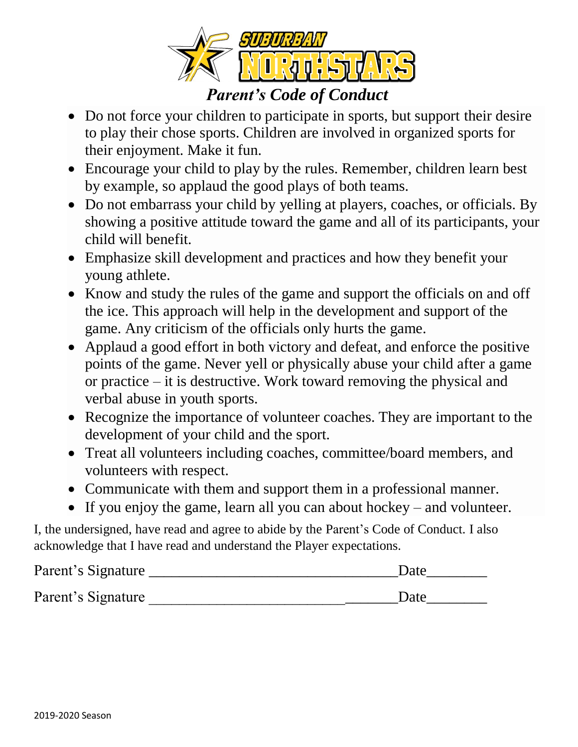

- Do not force your children to participate in sports, but support their desire to play their chose sports. Children are involved in organized sports for their enjoyment. Make it fun.
- Encourage your child to play by the rules. Remember, children learn best by example, so applaud the good plays of both teams.
- Do not embarrass your child by yelling at players, coaches, or officials. By showing a positive attitude toward the game and all of its participants, your child will benefit.
- Emphasize skill development and practices and how they benefit your young athlete.
- Know and study the rules of the game and support the officials on and off the ice. This approach will help in the development and support of the game. Any criticism of the officials only hurts the game.
- Applaud a good effort in both victory and defeat, and enforce the positive points of the game. Never yell or physically abuse your child after a game or practice – it is destructive. Work toward removing the physical and verbal abuse in youth sports.
- Recognize the importance of volunteer coaches. They are important to the development of your child and the sport.
- Treat all volunteers including coaches, committee/board members, and volunteers with respect.
- Communicate with them and support them in a professional manner.
- If you enjoy the game, learn all you can about hockey and volunteer.

I, the undersigned, have read and agree to abide by the Parent's Code of Conduct. I also acknowledge that I have read and understand the Player expectations.

| Parent's Signature | Date |
|--------------------|------|
| Parent's Signature | Date |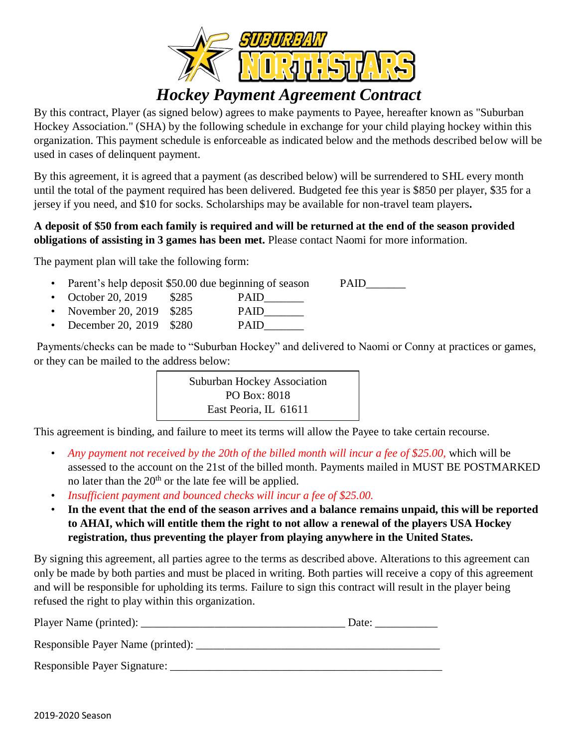

### *Hockey Payment Agreement Contract*

By this contract, Player (as signed below) agrees to make payments to Payee, hereafter known as "Suburban Hockey Association." (SHA) by the following schedule in exchange for your child playing hockey within this organization. This payment schedule is enforceable as indicated below and the methods described below will be used in cases of delinquent payment.

By this agreement, it is agreed that a payment (as described below) will be surrendered to SHL every month until the total of the payment required has been delivered. Budgeted fee this year is \$850 per player, \$35 for a jersey if you need, and \$10 for socks. Scholarships may be available for non-travel team players**.**

#### **A deposit of \$50 from each family is required and will be returned at the end of the season provided obligations of assisting in 3 games has been met.** Please contact Naomi for more information.

The payment plan will take the following form:

- Parent's help deposit \$50.00 due beginning of season PAID
- October 20, 2019 \$285 PAID
- November 20, 2019 \$285 PAID
- December 20, 2019 \$280 PAID\_\_\_\_\_\_\_

Payments/checks can be made to "Suburban Hockey" and delivered to Naomi or Conny at practices or games, or they can be mailed to the address below:



This agreement is binding, and failure to meet its terms will allow the Payee to take certain recourse.

- *Any payment not received by the 20th of the billed month will incur a fee of \$25.00,* which will be assessed to the account on the 21st of the billed month. Payments mailed in MUST BE POSTMARKED no later than the  $20<sup>th</sup>$  or the late fee will be applied.
- *Insufficient payment and bounced checks will incur a fee of \$25.00.*
- **In the event that the end of the season arrives and a balance remains unpaid, this will be reported to AHAI, which will entitle them the right to not allow a renewal of the players USA Hockey registration, thus preventing the player from playing anywhere in the United States.**

By signing this agreement, all parties agree to the terms as described above. Alterations to this agreement can only be made by both parties and must be placed in writing. Both parties will receive a copy of this agreement and will be responsible for upholding its terms. Failure to sign this contract will result in the player being refused the right to play within this organization.

| Player Name (printed):            | Date: |
|-----------------------------------|-------|
| Responsible Payer Name (printed): |       |
| Responsible Payer Signature:      |       |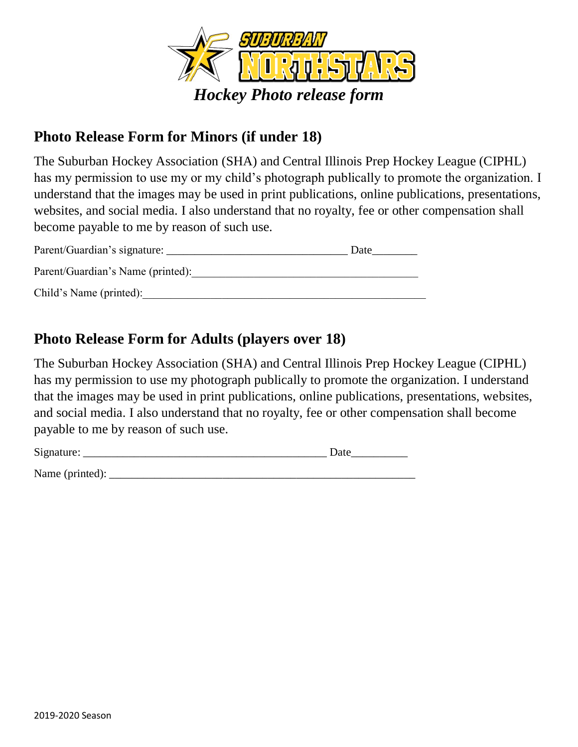

### **Photo Release Form for Minors (if under 18)**

The Suburban Hockey Association (SHA) and Central Illinois Prep Hockey League (CIPHL) has my permission to use my or my child's photograph publically to promote the organization. I understand that the images may be used in print publications, online publications, presentations, websites, and social media. I also understand that no royalty, fee or other compensation shall become payable to me by reason of such use.

| Parent/Guardian's signature:      | Date |
|-----------------------------------|------|
| Parent/Guardian's Name (printed): |      |
| Child's Name (printed):           |      |

### **Photo Release Form for Adults (players over 18)**

The Suburban Hockey Association (SHA) and Central Illinois Prep Hockey League (CIPHL) has my permission to use my photograph publically to promote the organization. I understand that the images may be used in print publications, online publications, presentations, websites, and social media. I also understand that no royalty, fee or other compensation shall become payable to me by reason of such use.

| Signature:      | Date |
|-----------------|------|
| Name (printed): |      |